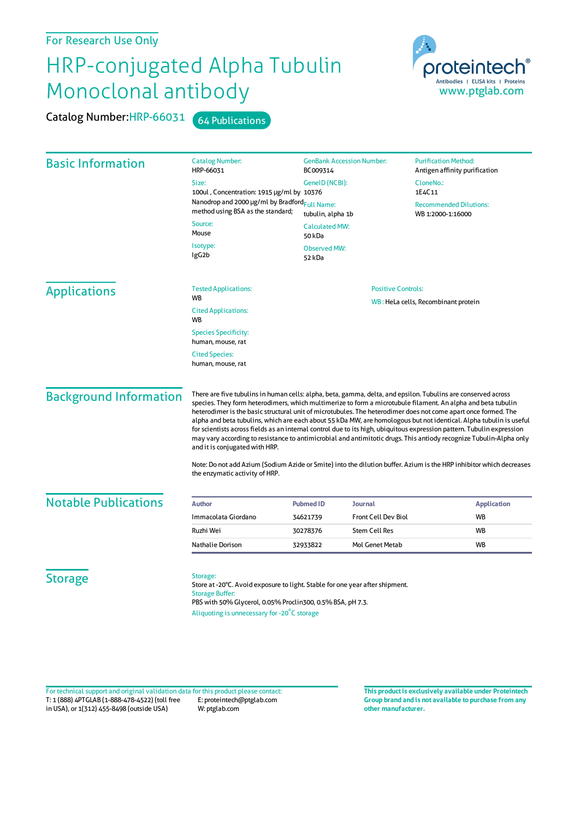## For Research Use Only

## HRP-conjugated Alpha Tubulin Monoclonal antibody

Catalog Number: HRP-66031 64 Publications



| <b>Basic Information</b>      | <b>Catalog Number:</b><br>HRP-66031                                                                                                                                                                                                                                                                                                                                                                                                                                                                                                                                                                                                                                                                                                                     | <b>GenBank Accession Number:</b><br>BC009314 |                            | <b>Purification Method:</b><br>Antigen affinity purification |                    |
|-------------------------------|---------------------------------------------------------------------------------------------------------------------------------------------------------------------------------------------------------------------------------------------------------------------------------------------------------------------------------------------------------------------------------------------------------------------------------------------------------------------------------------------------------------------------------------------------------------------------------------------------------------------------------------------------------------------------------------------------------------------------------------------------------|----------------------------------------------|----------------------------|--------------------------------------------------------------|--------------------|
|                               | Size:                                                                                                                                                                                                                                                                                                                                                                                                                                                                                                                                                                                                                                                                                                                                                   | GeneID (NCBI):                               |                            | CloneNo.:                                                    |                    |
|                               | 100ul, Concentration: 1915 µg/ml by 10376                                                                                                                                                                                                                                                                                                                                                                                                                                                                                                                                                                                                                                                                                                               |                                              |                            | 1E4C11                                                       |                    |
|                               | Nanodrop and 2000 µg/ml by Bradford <sub>Full Name:</sub><br>method using BSA as the standard;                                                                                                                                                                                                                                                                                                                                                                                                                                                                                                                                                                                                                                                          | tubulin, alpha 1b                            |                            | <b>Recommended Dilutions:</b><br>WB 1:2000-1:16000           |                    |
|                               | Source:<br>Mouse                                                                                                                                                                                                                                                                                                                                                                                                                                                                                                                                                                                                                                                                                                                                        | <b>Calculated MW:</b><br>50 kDa              |                            |                                                              |                    |
|                               | Isotype:<br>IgG <sub>2</sub> b                                                                                                                                                                                                                                                                                                                                                                                                                                                                                                                                                                                                                                                                                                                          | <b>Observed MW:</b><br>52 kDa                |                            |                                                              |                    |
| <b>Applications</b>           | <b>Tested Applications:</b>                                                                                                                                                                                                                                                                                                                                                                                                                                                                                                                                                                                                                                                                                                                             | <b>Positive Controls:</b>                    |                            |                                                              |                    |
|                               | <b>WB</b>                                                                                                                                                                                                                                                                                                                                                                                                                                                                                                                                                                                                                                                                                                                                               | WB: HeLa cells, Recombinant protein          |                            |                                                              |                    |
|                               | <b>Cited Applications:</b><br>WB                                                                                                                                                                                                                                                                                                                                                                                                                                                                                                                                                                                                                                                                                                                        |                                              |                            |                                                              |                    |
|                               | <b>Species Specificity:</b><br>human, mouse, rat                                                                                                                                                                                                                                                                                                                                                                                                                                                                                                                                                                                                                                                                                                        |                                              |                            |                                                              |                    |
|                               | <b>Cited Species:</b><br>human, mouse, rat                                                                                                                                                                                                                                                                                                                                                                                                                                                                                                                                                                                                                                                                                                              |                                              |                            |                                                              |                    |
| <b>Background Information</b> | There are five tubulins in human cells: alpha, beta, gamma, delta, and epsilon. Tubulins are conserved across<br>species. They form heterodimers, which multimerize to form a microtubule filament. An alpha and beta tubulin<br>heterodimer is the basic structural unit of microtubules. The heterodimer does not come apart once formed. The<br>alpha and beta tubulins, which are each about 55 kDa MW, are homologous but not identical. Alpha tubulin is useful<br>for scientists across fields as an internal control due to its high, ubiquitous expression pattern. Tubulin expression<br>may vary according to resistance to antimicrobial and antimitotic drugs. This antiody recognize Tubulin-Alpha only<br>and it is conjugated with HRP. |                                              |                            |                                                              |                    |
|                               | Note: Do not add Azium (Sodium Azide or Smite) into the dilution buffer. Azium is the HRP inhibitor which decreases<br>the enzymatic activity of HRP.                                                                                                                                                                                                                                                                                                                                                                                                                                                                                                                                                                                                   |                                              |                            |                                                              |                    |
| <b>Notable Publications</b>   | <b>Author</b>                                                                                                                                                                                                                                                                                                                                                                                                                                                                                                                                                                                                                                                                                                                                           | <b>Pubmed ID</b>                             | <b>Journal</b>             |                                                              | <b>Application</b> |
|                               | Immacolata Giordano                                                                                                                                                                                                                                                                                                                                                                                                                                                                                                                                                                                                                                                                                                                                     | 34621739                                     | <b>Front Cell Dev Biol</b> |                                                              | WB                 |
|                               | Ruzhi Wei                                                                                                                                                                                                                                                                                                                                                                                                                                                                                                                                                                                                                                                                                                                                               | 30278376                                     | <b>Stem Cell Res</b>       |                                                              | <b>WB</b>          |
|                               | Nathalie Dorison                                                                                                                                                                                                                                                                                                                                                                                                                                                                                                                                                                                                                                                                                                                                        | 32933822                                     | Mol Genet Metab            |                                                              | <b>WB</b>          |
| <b>Storage</b>                | Storage:                                                                                                                                                                                                                                                                                                                                                                                                                                                                                                                                                                                                                                                                                                                                                |                                              |                            |                                                              |                    |
|                               | Store at -20°C. Avoid exposure to light. Stable for one year after shipment.<br><b>Storage Buffer:</b><br>PBS with 50% Glycerol, 0.05% Proclin300, 0.5% BSA, pH 7.3.                                                                                                                                                                                                                                                                                                                                                                                                                                                                                                                                                                                    |                                              |                            |                                                              |                    |

Aliquoting is unnecessary for -20<sup>°</sup>C storage

T: 1 (888) 4PTGLAB (1-888-478-4522) (toll free in USA), or 1(312) 455-8498 (outside USA) E: proteintech@ptglab.com W: ptglab.com Fortechnical support and original validation data forthis product please contact: **This productis exclusively available under Proteintech**

**Group brand and is not available to purchase from any other manufacturer.**